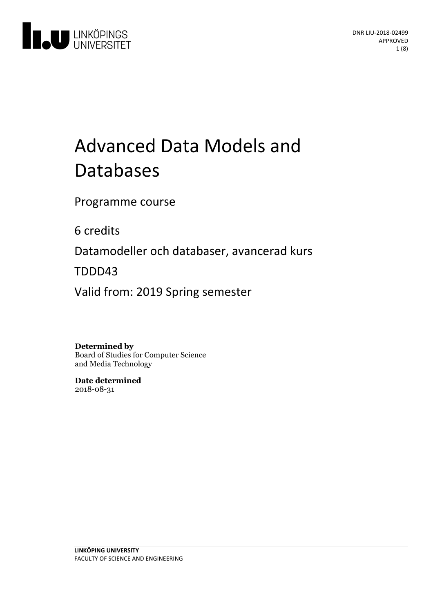

# Advanced Data Models and Databases

Programme course

6 credits

Datamodeller och databaser, avancerad kurs

TDDD43

Valid from: 2019 Spring semester

**Determined by**

Board of Studies for Computer Science and Media Technology

**Date determined** 2018-08-31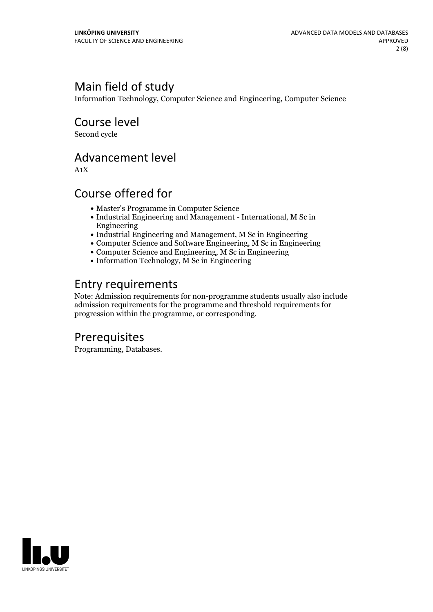# Main field of study

Information Technology, Computer Science and Engineering, Computer Science

Course level

Second cycle

### Advancement level

A1X

# Course offered for

- Master's Programme in Computer Science
- Industrial Engineering and Management International, M Sc in Engineering
- Industrial Engineering and Management, M Sc in Engineering
- Computer Science and Software Engineering, M Sc in Engineering
- Computer Science and Engineering, M Sc in Engineering
- Information Technology, M Sc in Engineering

# Entry requirements

Note: Admission requirements for non-programme students usually also include admission requirements for the programme and threshold requirements for progression within the programme, or corresponding.

# **Prerequisites**

Programming, Databases.

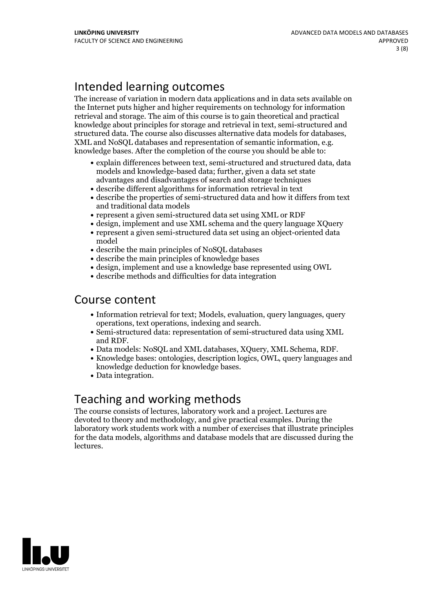# Intended learning outcomes

The increase ofvariation in modern data applications and in data sets available on the Internet puts higher and higher requirements on technology for information retrieval and storage. The aim of this course is to gain theoretical and practical knowledge about principles for storage and retrieval in text, semi-structured and structured data. The course also discusses alternative data models for databases, XML and NoSQL databases and representation of semantic information, e.g. knowledge bases. After the completion of the course you should be a

- explain differences between text, semi-structured and structured data, data models and knowledge-based data; further, given a data set state advantages and disadvantages of search and storage techniques
- describe different algorithms for information retrieval in text
- describe the properties of semi-structured data and how it differs from text and traditional data models
- represent a given semi-structured data set using XML or RDF
- design, implement and use XML schema and the query language XQuery
- represent a given semi-structured data set using an object-oriented data model
- describe the main principles of NoSQL databases
- describe the main principles of knowledge bases
- design, implement and use a knowledge base represented using OWL
- describe methods and difficulties for data integration

### Course content

- Information retrieval for text; Models, evaluation, query languages, query operations, text operations, indexing and search.<br>• Semi-structured data: representation of semi-structured data using XML
- 
- and RDF.<br>• Data models: NoSQL and XML databases, XQuery, XML Schema, RDF.<br>• Knowledge bases: ontologies, description logics, OWL, query languages and
- knowledge deduction for knowledge bases.<br>• Data integration.
- 

### Teaching and working methods

The course consists of lectures, laboratory work and a project. Lectures are devoted to theory and methodology, and give practical examples. During the laboratory work students work with a number of exercises that illustrate principles for the data models, algorithms and database models that are discussed during the lectures.

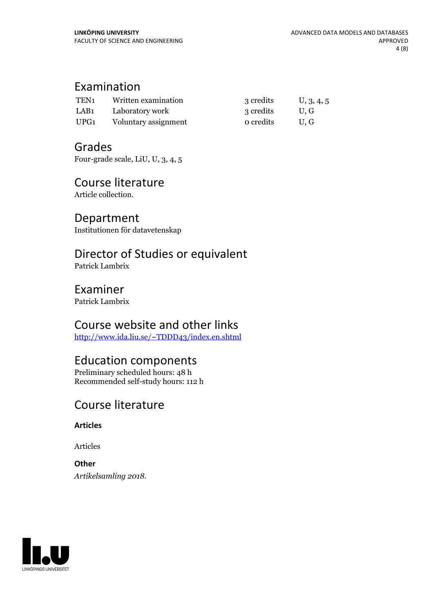### Examination

| TEN <sub>1</sub> | Written examination  | 3 credits | U, 3, 4, 5 |
|------------------|----------------------|-----------|------------|
| LAB <sub>1</sub> | Laboratory work      | 3 credits | U.G        |
| UPG1             | Voluntary assignment | o credits | U.G        |

### Grades

Four-grade scale, LiU, U, 3, 4, 5

# Course literature

Article collection.

### Department

Institutionen för datavetenskap

# Director of Studies or equivalent

Patrick Lambrix

### Examiner

Patrick Lambrix

### Course website and other links

<http://www.ida.liu.se/~TDDD43/index.en.shtml>

# Education components

Preliminary scheduled hours: 48 h Recommended self-study hours: 112 h

# Course literature

**Articles**

Articles

**Other** *Artikelsamling 2018.*

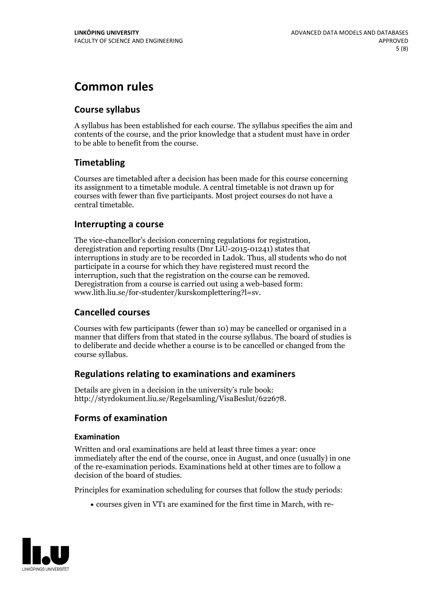# **Common rules**

### **Course syllabus**

A syllabus has been established for each course. The syllabus specifies the aim and contents of the course, and the prior knowledge that a student must have in order to be able to benefit from the course.

### **Timetabling**

Courses are timetabled after a decision has been made for this course concerning its assignment to a timetable module. A central timetable is not drawn up for courses with fewer than five participants. Most project courses do not have a central timetable.

### **Interrupting a course**

The vice-chancellor's decision concerning regulations for registration, deregistration and reporting results (Dnr LiU-2015-01241) states that interruptions in study are to be recorded in Ladok. Thus, all students who do not participate in a course for which they have registered must record the interruption, such that the registration on the course can be removed. Deregistration from <sup>a</sup> course is carried outusing <sup>a</sup> web-based form: www.lith.liu.se/for-studenter/kurskomplettering?l=sv.

### **Cancelled courses**

Courses with few participants (fewer than 10) may be cancelled or organised in a manner that differs from that stated in the course syllabus. The board of studies is to deliberate and decide whether a course is to be cancelled orchanged from the course syllabus.

### **Regulations relatingto examinations and examiners**

Details are given in a decision in the university's rule book: http://styrdokument.liu.se/Regelsamling/VisaBeslut/622678.

### **Forms of examination**

#### **Examination**

Written and oral examinations are held at least three times a year: once immediately after the end of the course, once in August, and once (usually) in one of the re-examination periods. Examinations held at other times are to follow a decision of the board of studies.

Principles for examination scheduling for courses that follow the study periods:

courses given in VT1 are examined for the first time in March, with re-

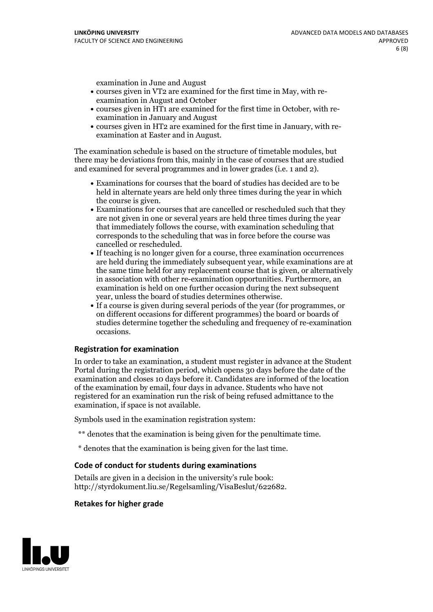examination in June and August

- courses given in VT2 are examined for the first time in May, with re-examination in August and October
- courses given in HT1 are examined for the first time in October, with re-examination in January and August
- courses given in HT2 are examined for the first time in January, with re-examination at Easter and in August.

The examination schedule is based on the structure of timetable modules, but there may be deviations from this, mainly in the case of courses that are studied and examined for several programmes and in lower grades (i.e. 1 and 2).

- Examinations for courses that the board of studies has decided are to be held in alternate years are held only three times during the year in which
- the course is given.<br>• Examinations for courses that are cancelled or rescheduled such that they are not given in one or several years are held three times during the year that immediately follows the course, with examination scheduling that corresponds to the scheduling that was in force before the course was cancelled or rescheduled.<br>• If teaching is no longer given for a course, three examination occurrences
- are held during the immediately subsequent year, while examinations are at the same time held for any replacement course that is given, or alternatively in association with other re-examination opportunities. Furthermore, an examination is held on one further occasion during the next subsequent year, unless the board of studies determines otherwise.<br>• If a course is given during several periods of the year (for programmes, or
- on different occasions for different programmes) the board orboards of studies determine together the scheduling and frequency of re-examination occasions.

#### **Registration for examination**

In order to take an examination, a student must register in advance at the Student Portal during the registration period, which opens 30 days before the date of the examination and closes 10 days before it. Candidates are informed of the location of the examination by email, four days in advance. Students who have not registered for an examination run the risk of being refused admittance to the examination, if space is not available.

Symbols used in the examination registration system:

- \*\* denotes that the examination is being given for the penultimate time.
- \* denotes that the examination is being given for the last time.

#### **Code of conduct for students during examinations**

Details are given in a decision in the university's rule book: http://styrdokument.liu.se/Regelsamling/VisaBeslut/622682.

### **Retakes for higher grade**

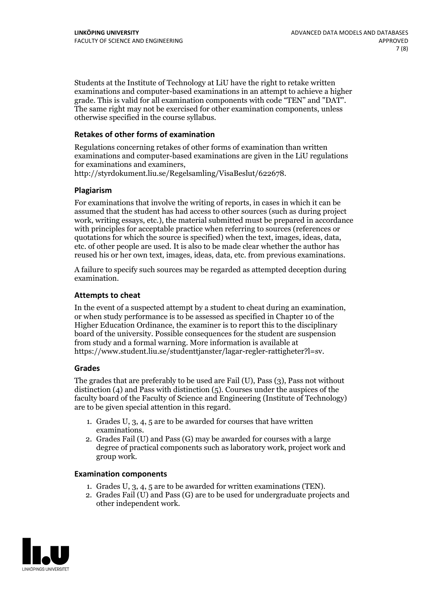Students at the Institute of Technology at LiU have the right to retake written examinations and computer-based examinations in an attempt to achieve a higher grade. This is valid for all examination components with code "TEN" and "DAT". The same right may not be exercised for other examination components, unless otherwise specified in the course syllabus.

### **Retakes of other forms of examination**

Regulations concerning retakes of other forms of examination than written examinations and computer-based examinations are given in the LiU regulations for examinations and examiners, http://styrdokument.liu.se/Regelsamling/VisaBeslut/622678.

#### **Plagiarism**

For examinations that involve the writing of reports, in cases in which it can be assumed that the student has had access to other sources (such as during project work, writing essays, etc.), the material submitted must be prepared in accordance with principles for acceptable practice when referring to sources (references or quotations for which the source is specified) when the text, images, ideas, data, etc. of other people are used. It is also to be made clear whether the author has reused his or her own text, images, ideas, data, etc. from previous examinations.

A failure to specify such sources may be regarded as attempted deception during examination.

#### **Attempts to cheat**

In the event of <sup>a</sup> suspected attempt by <sup>a</sup> student to cheat during an examination, or when study performance is to be assessed as specified in Chapter <sup>10</sup> of the Higher Education Ordinance, the examiner is to report this to the disciplinary board of the university. Possible consequences for the student are suspension from study and a formal warning. More information is available at https://www.student.liu.se/studenttjanster/lagar-regler-rattigheter?l=sv.

#### **Grades**

The grades that are preferably to be used are Fail (U), Pass (3), Pass not without distinction  $(4)$  and Pass with distinction  $(5)$ . Courses under the auspices of the faculty board of the Faculty of Science and Engineering (Institute of Technology) are to be given special attention in this regard.

- 1. Grades U, 3, 4, 5 are to be awarded for courses that have written
- examinations. 2. Grades Fail (U) and Pass (G) may be awarded for courses with <sup>a</sup> large degree of practical components such as laboratory work, project work and group work.

#### **Examination components**

- 
- 1. Grades U, 3, 4, <sup>5</sup> are to be awarded for written examinations (TEN). 2. Grades Fail (U) and Pass (G) are to be used for undergraduate projects and other independent work.